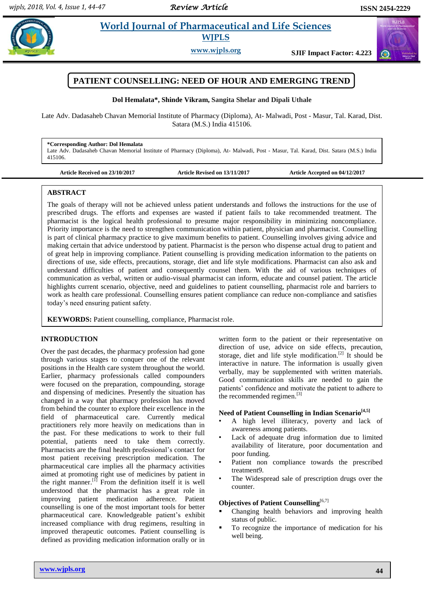# **Paramateuries in al. 2018 World Journal of Pharmaceutical and Life Sciences WJPLS**

**www.wjpls.org SJIF Impact Factor: 4.223**



**Dol Hemalata\*, Shinde Vikram, Sangita Shelar and Dipali Uthale**

Late Adv. Dadasaheb Chavan Memorial Institute of Pharmacy (Diploma), At- Malwadi, Post - Masur, Tal. Karad, Dist. Satara (M.S.) India 415106.

#### **\*Corresponding Author: Dol Hemalata**

Late Adv. Dadasaheb Chavan Memorial Institute of Pharmacy (Diploma), At- Malwadi, Post - Masur, Tal. Karad, Dist. Satara (M.S.) India 415106.

**Article Received on 23/10/2017 Article Revised on 13/11/2017 Article Accepted on 04/12/2017**

#### **ABSTRACT**

The goals of therapy will not be achieved unless patient understands and follows the instructions for the use of prescribed drugs. The efforts and expenses are wasted if patient fails to take recommended treatment. The pharmacist is the logical health professional to presume major responsibility in minimizing noncompliance. Priority importance is the need to strengthen communication within patient, physician and pharmacist. Counselling is part of clinical pharmacy practice to give maximum benefits to patient. Counselling involves giving advice and making certain that advice understood by patient. Pharmacist is the person who dispense actual drug to patient and of great help in improving compliance. Patient counselling is providing medication information to the patients on directions of use, side effects, precautions, storage, diet and life style modifications. Pharmacist can also ask and understand difficulties of patient and consequently counsel them. With the aid of various techniques of communication as verbal, written or audio-visual pharmacist can inform, educate and counsel patient. The article highlights current scenario, objective, need and guidelines to patient counselling, pharmacist role and barriers to work as health care professional. Counselling ensures patient compliance can reduce non-compliance and satisfies today's need ensuring patient safety.

**KEYWORDS:** Patient counselling, compliance, Pharmacist role.

## **INTRODUCTION**

Over the past decades, the pharmacy profession had gone through various stages to conquer one of the relevant positions in the Health care system throughout the world. Earlier, pharmacy professionals called compounders were focused on the preparation, compounding, storage and dispensing of medicines. Presently the situation has changed in a way that pharmacy profession has moved from behind the counter to explore their excellence in the field of pharmaceutical care. Currently medical practitioners rely more heavily on medications than in the past. For these medications to work to their full potential, patients need to take them correctly. Pharmacists are the final health professional's contact for most patient receiving prescription medication. The pharmaceutical care implies all the pharmacy activities aimed at promoting right use of medicines by patient in the right manner.<sup>[1]</sup> From the definition itself it is well understood that the pharmacist has a great role in improving patient medication adherence. Patient counselling is one of the most important tools for better pharmaceutical care. Knowledgeable patient's exhibit increased compliance with drug regimens, resulting in improved therapeutic outcomes. Patient counselling is defined as providing medication information orally or in

written form to the patient or their representative on direction of use, advice on side effects, precaution, storage, diet and life style modification.<sup>[2]</sup> It should be interactive in nature. The information is usually given verbally, may be supplemented with written materials. Good communication skills are needed to gain the patients' confidence and motivate the patient to adhere to the recommended regimen. [3]

# **Need of Patient Counselling in Indian Scenario[4,5]**

- A high level illiteracy, poverty and lack of awareness among patients.
- Lack of adequate drug information due to limited availability of literature, poor documentation and poor funding.
- Patient non compliance towards the prescribed treatment9.
- The Widespread sale of prescription drugs over the counter.

## **Objectives of Patient Counselling**<sup>[6,7]</sup>

- Changing health behaviors and improving health status of public.
- To recognize the importance of medication for his well being.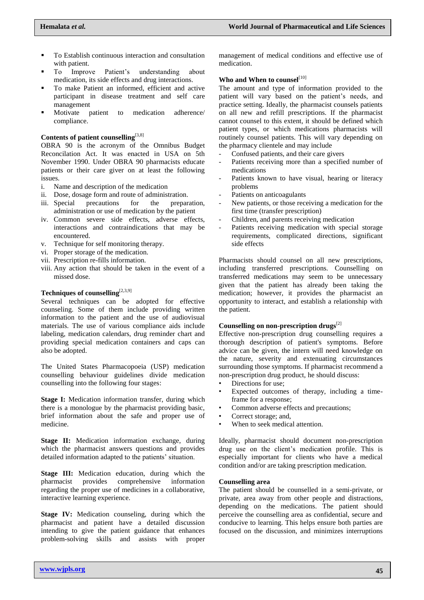- To Establish continuous interaction and consultation with patient.
- To Improve Patient's understanding about medication, its side effects and drug interactions.
- To make Patient an informed, efficient and active participant in disease treatment and self care management
- Motivate patient to medication adherence/ compliance.

## **Contents of patient counselling**[3,8]

OBRA 90 is the acronym of the Omnibus Budget Reconcilation Act. It was enacted in USA on 5th November 1990. Under OBRA 90 pharmacists educate patients or their care giver on at least the following issues.

- i. Name and description of the medication
- ii. Dose, dosage form and route of administration.
- iii. Special precautions for the preparation, administration or use of medication by the patient
- iv. Common severe side effects, adverse effects, interactions and contraindications that may be encountered.
- v. Technique for self monitoring therapy.
- vi. Proper storage of the medication.
- vii. Prescription re-fills information.
- viii. Any action that should be taken in the event of a missed dose.

# **Techniques of counselling**[2,3,9]

Several techniques can be adopted for effective counseling. Some of them include providing written information to the patient and the use of audiovisual materials. The use of various compliance aids include labeling, medication calendars, drug reminder chart and providing special medication containers and caps can also be adopted.

The United States Pharmacopoeia [\(USP\)](http://www.usp.org/) medication counselling behaviour guidelines divide medication counselling into the following four stages:

**Stage I:** Medication information transfer, during which there is a monologue by the pharmacist providing basic, brief information about the safe and proper use of medicine.

**Stage II:** Medication information exchange, during which the pharmacist answers questions and provides detailed information adapted to the patients' situation.

**Stage III:** Medication education, during which the pharmacist provides comprehensive information regarding the proper use of medicines in a collaborative, interactive learning experience.

**Stage IV:** Medication counseling, during which the pharmacist and patient have a detailed discussion intending to give the patient guidance that enhances problem-solving skills and assists with proper

management of medical conditions and effective use of medication.

# Who and When to counsel<sup>[10]</sup>

The amount and type of information provided to the patient will vary based on the patient's needs, and practice setting. Ideally, the pharmacist counsels patients on all new and refill prescriptions. If the pharmacist cannot counsel to this extent, it should be defined which patient types, or which medications pharmacists will routinely counsel patients. This will vary depending on the pharmacy clientele and may include

- Confused patients, and their care givers
- Patients receiving more than a specified number of medications
- Patients known to have visual, hearing or literacy problems
- Patients on anticoagulants
- New patients, or those receiving a medication for the first time (transfer prescription)
- Children, and parents receiving medication
- Patients receiving medication with special storage requirements, complicated directions, significant side effects

Pharmacists should counsel on all new prescriptions, including transferred prescriptions. Counselling on transferred medications may seem to be unnecessary given that the patient has already been taking the medication; however, it provides the pharmacist an opportunity to interact, and establish a relationship with the patient.

# **Counselling on non-prescription drugs**[2]

Effective non-prescription drug counselling requires a thorough description of patient's symptoms. Before advice can be given, the intern will need knowledge on the nature, severity and extenuating circumstances surrounding those symptoms. If pharmacist recommend a non-prescription drug product, he should discuss:

- Directions for use;
- Expected outcomes of therapy, including a timeframe for a response;
- Common adverse effects and precautions;
- Correct storage; and,
- When to seek medical attention.

Ideally, pharmacist should document non-prescription drug use on the client's medication profile. This is especially important for clients who have a medical condition and/or are taking prescription medication.

#### **Counselling area**

The patient should be counselled in a semi-private, or private, area away from other people and distractions, depending on the medications. The patient should perceive the counselling area as confidential, secure and conducive to learning. This helps ensure both parties are focused on the discussion, and minimizes interruptions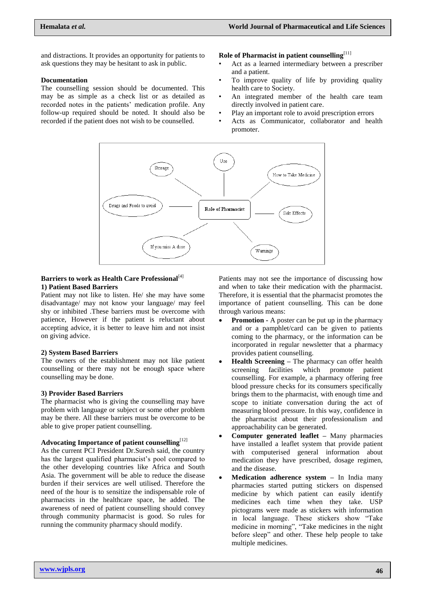and distractions. It provides an opportunity for patients to ask questions they may be hesitant to ask in public.

#### **Documentation**

The counselling session should be documented. This may be as simple as a check list or as detailed as recorded notes in the patients' medication profile. Any follow-up required should be noted. It should also be recorded if the patient does not wish to be counselled.

# **Role of Pharmacist in patient counselling**[11]

- Act as a learned intermediary between a prescriber and a patient.
- To improve quality of life by providing quality health care to Society.
- An integrated member of the health care team directly involved in patient care.
- Play an important role to avoid prescription errors
- Acts as Communicator, collaborator and health promoter.



#### Barriers to work as Health Care Professional<sup>[4]</sup> **1) Patient Based Barriers**

Patient may not like to listen. He/ she may have some disadvantage/ may not know your language/ may feel shy or inhibited .These barriers must be overcome with patience, However if the patient is reluctant about accepting advice, it is better to leave him and not insist on giving advice.

#### **2) System Based Barriers**

The owners of the establishment may not like patient counselling or there may not be enough space where counselling may be done.

## **3) Provider Based Barriers**

The pharmacist who is giving the counselling may have problem with language or subject or some other problem may be there. All these barriers must be overcome to be able to give proper patient counselling.

# **Advocating Importance of patient counselling**[12]

As the current PCI President Dr.Suresh said, the country has the largest qualified pharmacist's pool compared to the other developing countries like Africa and South Asia. The government will be able to reduce the disease burden if their services are well utilised. Therefore the need of the hour is to sensitize the indispensable role of pharmacists in the healthcare space, he added. The awareness of need of patient counselling should convey through community pharmacist is good. So rules for running the community pharmacy should modify.

Patients may not see the importance of discussing how and when to take their medication with the pharmacist. Therefore, it is essential that the pharmacist promotes the importance of patient counselling. This can be done through various means:

- **Promotion -** A poster can be put up in the pharmacy and or a pamphlet/card can be given to patients coming to the pharmacy, or the information can be incorporated in regular newsletter that a pharmacy provides patient counselling.
- **Health Screening –** The pharmacy can offer health screening facilities which promote patient counselling. For example, a pharmacy offering free blood pressure checks for its consumers specifically brings them to the pharmacist, with enough time and scope to initiate conversation during the act of measuring blood pressure. In this way, confidence in the pharmacist about their professionalism and approachability can be generated.
- **Computer generated leaflet –** Many pharmacies have installed a leaflet system that provide patient with computerised general information about medication they have prescribed, dosage regimen, and the disease.
- **Medication adherence system –** In India many pharmacies started putting stickers on dispensed medicine by which patient can easily identify medicines each time when they take. USP pictograms were made as stickers with information in local language. These stickers show "Take medicine in morning", "Take medicines in the night before sleep" and other. These help people to take multiple medicines.